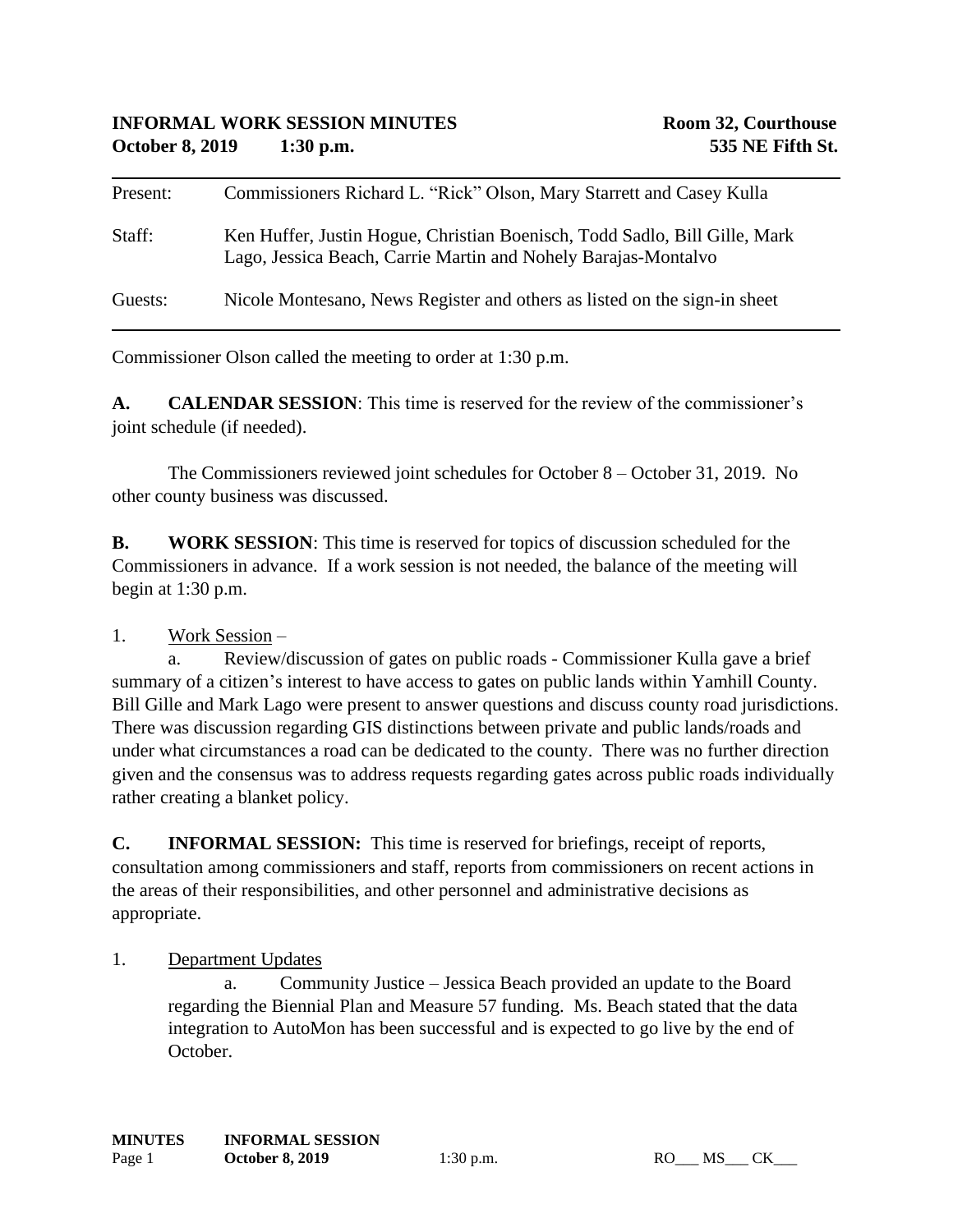| Present: | Commissioners Richard L. "Rick" Olson, Mary Starrett and Casey Kulla                                                                         |
|----------|----------------------------------------------------------------------------------------------------------------------------------------------|
| Staff:   | Ken Huffer, Justin Hogue, Christian Boenisch, Todd Sadlo, Bill Gille, Mark<br>Lago, Jessica Beach, Carrie Martin and Nohely Barajas-Montalvo |
| Guests:  | Nicole Montesano, News Register and others as listed on the sign-in sheet                                                                    |

Commissioner Olson called the meeting to order at 1:30 p.m.

**A. CALENDAR SESSION**: This time is reserved for the review of the commissioner's joint schedule (if needed).

The Commissioners reviewed joint schedules for October 8 – October 31, 2019. No other county business was discussed.

**B. WORK SESSION**: This time is reserved for topics of discussion scheduled for the Commissioners in advance. If a work session is not needed, the balance of the meeting will begin at 1:30 p.m.

## 1. Work Session –

a. Review/discussion of gates on public roads - Commissioner Kulla gave a brief summary of a citizen's interest to have access to gates on public lands within Yamhill County. Bill Gille and Mark Lago were present to answer questions and discuss county road jurisdictions. There was discussion regarding GIS distinctions between private and public lands/roads and under what circumstances a road can be dedicated to the county. There was no further direction given and the consensus was to address requests regarding gates across public roads individually rather creating a blanket policy.

**C. INFORMAL SESSION:** This time is reserved for briefings, receipt of reports, consultation among commissioners and staff, reports from commissioners on recent actions in the areas of their responsibilities, and other personnel and administrative decisions as appropriate.

1. Department Updates

a. Community Justice – Jessica Beach provided an update to the Board regarding the Biennial Plan and Measure 57 funding. Ms. Beach stated that the data integration to AutoMon has been successful and is expected to go live by the end of October.